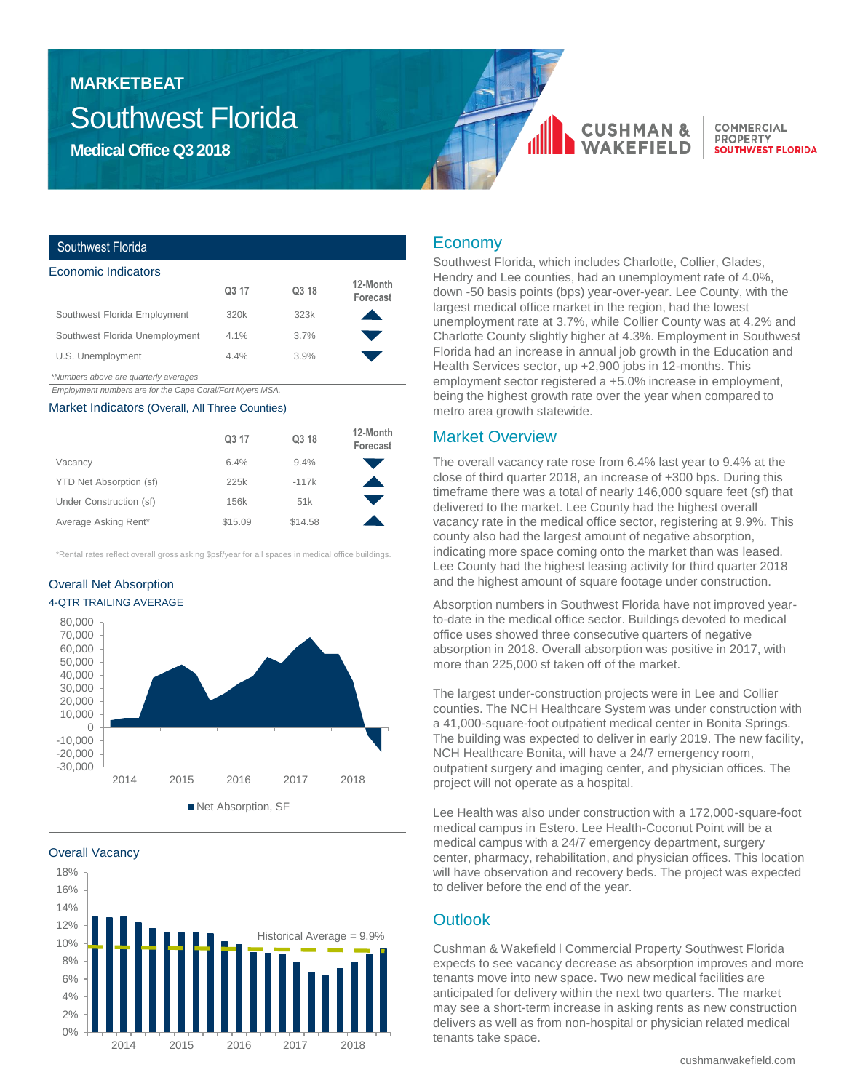## Southwest Florida **MARKETBEAT**

**Medical Office Q3 2018**

# **CUSHMAN**

COMMERCIAL **PROPERTY SOUTHWEST FLORIDA** 

## Southwest Florida

| Economic Indicators            |                   |       |                      |
|--------------------------------|-------------------|-------|----------------------|
|                                | Q <sub>3</sub> 17 | Q3 18 | 12-Month<br>Forecast |
| Southwest Florida Employment   | 320k              | 323k  |                      |
| Southwest Florida Unemployment | $4.1\%$           | 3.7%  |                      |
| U.S. Unemployment              | 4.4%              | 3.9%  |                      |
|                                |                   |       |                      |

*\*Numbers above are quarterly averages*

*Employment numbers are for the Cape Coral/Fort Myers MSA.* 

#### Market Indicators (Overall, All Three Counties)

|                         | Q3 17   | Q3 18   | 12-Month<br>Forecast |
|-------------------------|---------|---------|----------------------|
| Vacancy                 | 6.4%    | 9.4%    |                      |
| YTD Net Absorption (sf) | 225k    | $-117k$ |                      |
| Under Construction (sf) | 156k    | 51k     |                      |
| Average Asking Rent*    | \$15.09 | \$14.58 |                      |

\*Rental rates reflect overall gross asking \$psf/year for all spaces in medical office buildings.

## Overall Net Absorption 4-QTR TRAILING AVERAGE



Overall Vacancy



## Economy

Southwest Florida, which includes Charlotte, Collier, Glades, Hendry and Lee counties, had an unemployment rate of 4.0%, down -50 basis points (bps) year-over-year. Lee County, with the largest medical office market in the region, had the lowest unemployment rate at 3.7%, while Collier County was at 4.2% and Charlotte County slightly higher at 4.3%. Employment in Southwest Florida had an increase in annual job growth in the Education and Health Services sector, up +2,900 jobs in 12-months. This employment sector registered a +5.0% increase in employment, being the highest growth rate over the year when compared to metro area growth statewide.

## Market Overview

The overall vacancy rate rose from 6.4% last year to 9.4% at the close of third quarter 2018, an increase of +300 bps. During this timeframe there was a total of nearly 146,000 square feet (sf) that delivered to the market. Lee County had the highest overall vacancy rate in the medical office sector, registering at 9.9%. This county also had the largest amount of negative absorption, indicating more space coming onto the market than was leased. Lee County had the highest leasing activity for third quarter 2018 and the highest amount of square footage under construction.

Absorption numbers in Southwest Florida have not improved yearto-date in the medical office sector. Buildings devoted to medical office uses showed three consecutive quarters of negative absorption in 2018. Overall absorption was positive in 2017, with more than 225,000 sf taken off of the market.

The largest under-construction projects were in Lee and Collier counties. The NCH Healthcare System was under construction with a 41,000-square-foot outpatient medical center in Bonita Springs. The building was expected to deliver in early 2019. The new facility, NCH Healthcare Bonita, will have a 24/7 emergency room, outpatient surgery and imaging center, and physician offices. The project will not operate as a hospital.

Lee Health was also under construction with a 172,000-square-foot medical campus in Estero. Lee Health-Coconut Point will be a medical campus with a 24/7 emergency department, surgery center, pharmacy, rehabilitation, and physician offices. This location will have observation and recovery beds. The project was expected to deliver before the end of the year.

## **Outlook**

Cushman & Wakefield l Commercial Property Southwest Florida expects to see vacancy decrease as absorption improves and more tenants move into new space. Two new medical facilities are anticipated for delivery within the next two quarters. The market may see a short-term increase in asking rents as new construction delivers as well as from non-hospital or physician related medical tenants take space.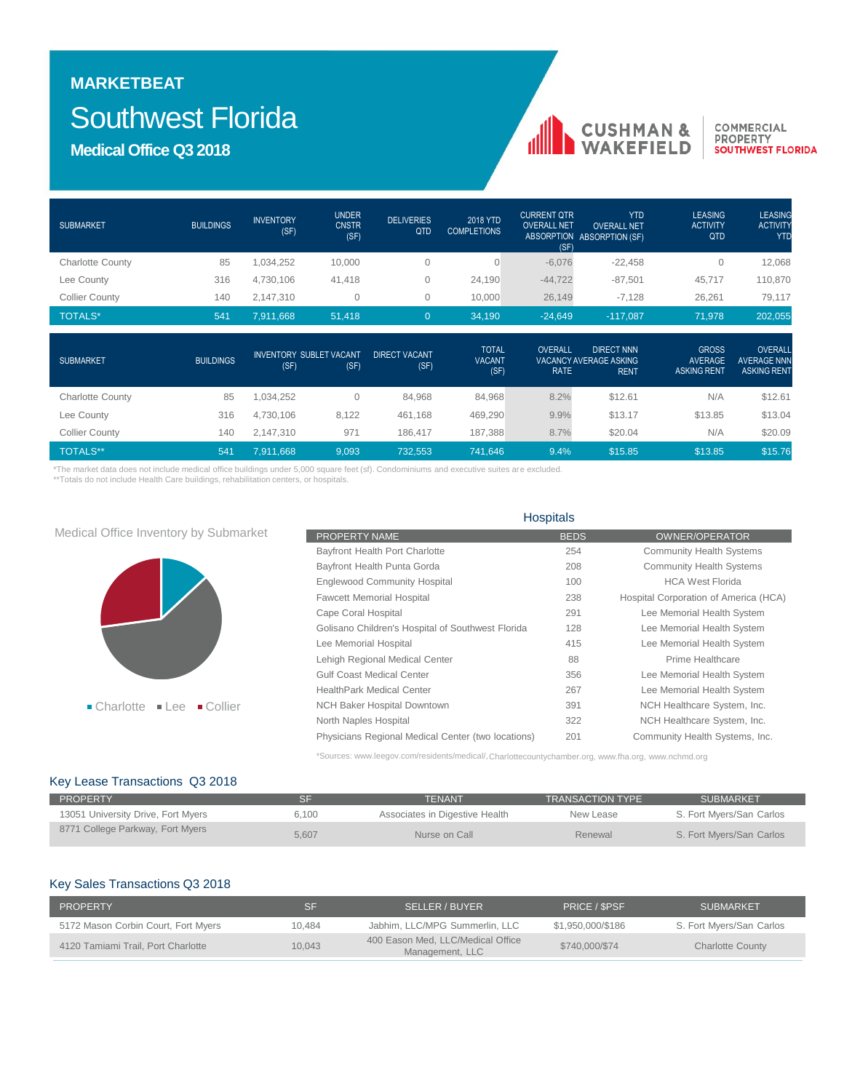## **MARKETBEAT** Southwest Florida

**Medical Office Q3 2018**

| <b>SUBMARKET</b>        | <b>BUILDINGS</b> | <b>INVENTORY</b><br>(SF) | <b>UNDER</b><br><b>CNSTR</b><br>(SF)   | <b>DELIVERIES</b><br>QTD     | 2018 YTD<br><b>COMPLETIONS</b>        | <b>CURRENT QTR</b><br><b>OVERALL NET</b><br>(SF) | <b>YTD</b><br><b>OVERALL NET</b><br>ABSORPTION ABSORPTION (SF)    | <b>LEASING</b><br><b>ACTIVITY</b><br>QTD             | <b>LEASING</b><br><b>ACTIVITY</b><br><b>YTD</b>     |
|-------------------------|------------------|--------------------------|----------------------------------------|------------------------------|---------------------------------------|--------------------------------------------------|-------------------------------------------------------------------|------------------------------------------------------|-----------------------------------------------------|
| <b>Charlotte County</b> | 85               | 1,034,252                | 10,000                                 | $\mathbf{0}$                 | 0                                     | $-6,076$                                         | $-22,458$                                                         | $\mathbf{0}$                                         | 12,068                                              |
| Lee County              | 316              | 4,730,106                | 41,418                                 | 0                            | 24,190                                | $-44,722$                                        | $-87,501$                                                         | 45,717                                               | 110,870                                             |
| <b>Collier County</b>   | 140              | 2,147,310                | 0                                      | 0                            | 10,000                                | 26,149                                           | $-7,128$                                                          | 26,261                                               | 79,117                                              |
| <b>TOTALS*</b>          | 541              | 7,911,668                | 51,418                                 | $\overline{0}$               | 34,190                                | $-24,649$                                        | $-117,087$                                                        | 71,978                                               | 202,055                                             |
| <b>SUBMARKET</b>        | <b>BUILDINGS</b> | (SF)                     | <b>INVENTORY SUBLET VACANT</b><br>(SF) | <b>DIRECT VACANT</b><br>(SF) | <b>TOTAL</b><br><b>VACANT</b><br>(SF) | OVERALL<br><b>RATE</b>                           | <b>DIRECT NNN</b><br><b>VACANCY AVERAGE ASKING</b><br><b>RENT</b> | <b>GROSS</b><br><b>AVERAGE</b><br><b>ASKING RENT</b> | OVERALL<br><b>AVERAGE NNN</b><br><b>ASKING RENT</b> |
| <b>Charlotte County</b> | 85               | 1,034,252                | $\mathbf{0}$                           | 84,968                       | 84,968                                | 8.2%                                             | \$12.61                                                           | N/A                                                  | \$12.61                                             |
| Lee County              | 316              | 4,730,106                | 8,122                                  | 461,168                      | 469,290                               | 9.9%                                             | \$13.17                                                           | \$13.85                                              | \$13.04                                             |
| <b>Collier County</b>   | 140              | 2,147,310                | 971                                    | 186,417                      | 187,388                               | 8.7%                                             | \$20.04                                                           | N/A                                                  | \$20.09                                             |
| <b>TOTALS**</b>         | 541              | 7,911,668                | 9,093                                  | 732,553                      | 741,646                               | 9.4%                                             | \$15.85                                                           | \$13.85                                              | \$15.76                                             |

\*The market data does not include medical office buildings under 5,000 square feet (sf). Condominiums and executive suites are excluded.

\*\*Totals do not include Health Care buildings, rehabilitation centers, or hospitals.

|                                                           | <b>HUSPILAIS</b>                                   |             |                                       |  |  |
|-----------------------------------------------------------|----------------------------------------------------|-------------|---------------------------------------|--|--|
| Medical Office Inventory by Submarket                     | PROPERTY NAME                                      | <b>BEDS</b> | <b>OWNER/OPERATOR</b>                 |  |  |
|                                                           | Bayfront Health Port Charlotte                     | 254         | <b>Community Health Systems</b>       |  |  |
|                                                           | Bayfront Health Punta Gorda                        | 208         | <b>Community Health Systems</b>       |  |  |
|                                                           | <b>Englewood Community Hospital</b>                | 100         | <b>HCA West Florida</b>               |  |  |
|                                                           | <b>Fawcett Memorial Hospital</b>                   | 238         | Hospital Corporation of America (HCA) |  |  |
|                                                           | Cape Coral Hospital                                | 291         | Lee Memorial Health System            |  |  |
|                                                           | Golisano Children's Hospital of Southwest Florida  | 128         | Lee Memorial Health System            |  |  |
|                                                           | Lee Memorial Hospital                              | 415         | Lee Memorial Health System            |  |  |
|                                                           | Lehigh Regional Medical Center                     | 88          | Prime Healthcare                      |  |  |
|                                                           | <b>Gulf Coast Medical Center</b>                   | 356         | Lee Memorial Health System            |  |  |
|                                                           | <b>HealthPark Medical Center</b>                   | 267         | Lee Memorial Health System            |  |  |
| $\blacksquare$ Charlotte<br>$\blacksquare$ Collier<br>Lee | <b>NCH Baker Hospital Downtown</b>                 | 391         | NCH Healthcare System, Inc.           |  |  |
|                                                           | North Naples Hospital                              | 322         | NCH Healthcare System, Inc.           |  |  |
|                                                           | Physicians Regional Medical Center (two locations) | 201         | Community Health Systems, Inc.        |  |  |

\*Sources: www.leegov.com/residents/medical/,Charlottecountychamber.org, www.fha.org, www.nchmd.org

Hospitals

nll

**CUSHMAN &**<br>WAKEFIELD

COMMERCIAL **PROPERTY<br>PROPERTY<br>SOUTHWEST FLORIDA** 

### Key Lease Transactions Q3 2018

| <b>PROPERTY</b>                    |       | TENANT                         | <b>TRANSACTION TYPE</b> | SUBMARKET                |
|------------------------------------|-------|--------------------------------|-------------------------|--------------------------|
| 13051 University Drive, Fort Myers | 6.100 | Associates in Digestive Health | New Lease               | S. Fort Myers/San Carlos |
| 8771 College Parkway, Fort Myers   | 5.607 | Nurse on Call                  | Renewal                 | S. Fort Myers/San Carlos |

### Key Sales Transactions Q3 2018

| <b>PROPERTY</b>                     | SF     | SELLER / BUYER                                       | PRICE / SPSF      | <b>SUBMARKET</b>         |
|-------------------------------------|--------|------------------------------------------------------|-------------------|--------------------------|
| 5172 Mason Corbin Court, Fort Myers | 10.484 | Jabhim, LLC/MPG Summerlin, LLC                       | \$1.950.000/\$186 | S. Fort Myers/San Carlos |
| 4120 Tamiami Trail, Port Charlotte  | 10,043 | 400 Eason Med. LLC/Medical Office<br>Management, LLC | \$740,000/\$74    | <b>Charlotte County</b>  |